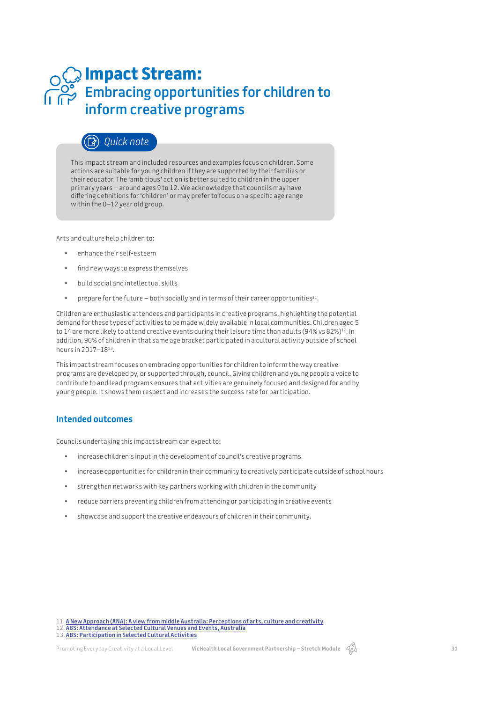# **Impact Stream: Embracing opportunities for children to inform creative programs**

# *Quick note*

This impact stream and included resources and examples focus on children. Some actions are suitable for young children if they are supported by their families or their educator. The 'ambitious' action is better suited to children in the upper primary years – around ages 9 to 12. We acknowledge that councils may have difering defnitions for 'children' or may prefer to focus on a specifc age range within the 0–12 year old group.

Arts and culture help children to:

- enhance their self-esteem
- fnd new ways to express themselves
- build social and intellectual skills
- prepare for the future both socially and in terms of their career opportunities<sup>11</sup>.

Children are enthusiastic attendees and participants in creative programs, highlighting the potential demand for these types of activities to be made widely available in local communities. Children aged 5 to 14 are more likely to attend creative events during their leisure time than adults (94% vs 82%)<sup>12</sup>. In addition, 96% of children in that same age bracket participated in a cultural activity outside of school hours in 2017–1813.

This impact stream focuses on embracing opportunities for children to inform the way creative programs are developed by, or supported through, council. Giving children and young people a voice to contribute to and lead programs ensures that activities are genuinely focused and designed for and by young people. It shows them respect and increases the success rate for participation.

### **Intended outcomes**

Councils undertaking this impact stream can expect to:

- increase children's input in the development of council's creative programs
- increase opportunities for children in their community to creatively participate outside of school hours
- strengthen networks with key partners working with children in the community
- reduce barriers preventing children from attending or participating in creative events
- showcase and support the creative endeavours of children in their community.

12. **ABS: Attendance at Selected Cultural Venues and Events, Australia**

13. **ABS: Participation in Selected Cultural Activities**

<sup>11.</sup> **A New Approach (ANA): A view from middle Australia: Perceptions of arts, culture and creativity**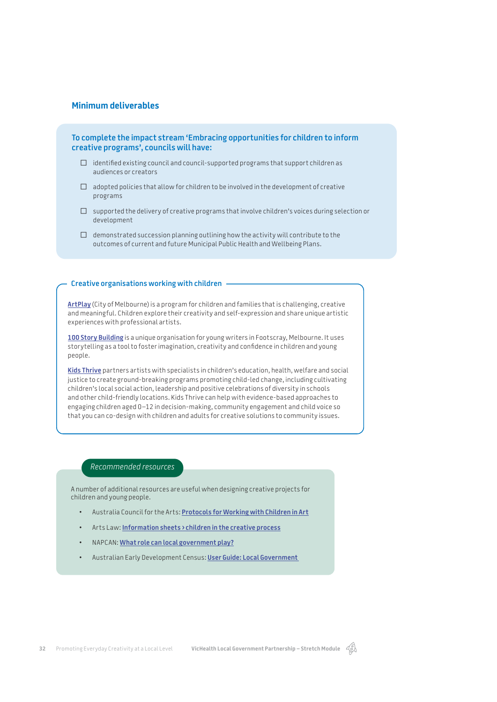### **Minimum deliverables**

**To complete the impact stream 'Embracing opportunities for children to inform creative programs', councils will have:** 

- $\Box$  identified existing council and council-supported programs that support children as audiences or creators
- $\Box$  adopted policies that allow for children to be involved in the development of creative programs
- $\Box$  supported the delivery of creative programs that involve children's voices during selection or development
- $\Box$  demonstrated succession planning outlining how the activity will contribute to the outcomes of current and future Municipal Public Health and Wellbeing Plans.

#### **Creative organisations working with children**

**ArtPlay** (City of Melbourne) is a program for children and families that is challenging, creative and meaningful. Children explore their creativity and self-expression and share unique artistic experiences with professional artists.

**100 Story Building** is a unique organisation for young writers in Footscray, Melbourne. It uses storytelling as a tool to foster imagination, creativity and confdence in children and young people.

**Kids Thrive** partners artists with specialists in children's education, health, welfare and social justice to create ground-breaking programs promoting child-led change, including cultivating children's local social action, leadership and positive celebrations of diversity in schools and other child-friendly locations. Kids Thrive can help with evidence-based approaches to engaging children aged 0–12 in decision-making, community engagement and child voice so that you can co-design with children and adults for creative solutions to community issues.

### *Recommended resources*

A number of additional resources are useful when designing creative projects for children and young people.

- Australia Council for the Arts: **Protocols for Working with Children in Art**
- Arts Law: **Information sheets › children in the creative process**
- NAPCAN: **What role can local government play?**
- Australian Early Development Census: **User Guide: Local Government**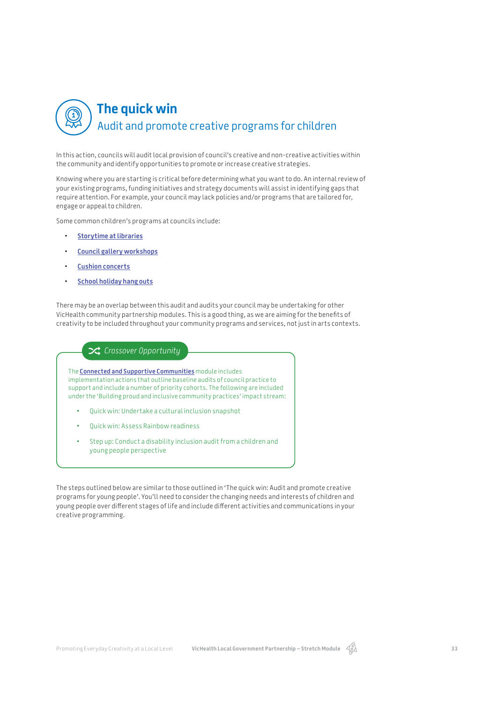## **The quick win**  $\textcircled{\small{1}}$ Audit and promote creative programs for children

In this action, councils will audit local provision of council's creative and non-creative activities within the community and identify opportunities to promote or increase creative strategies.

Knowing where you are starting is critical before determining what you want to do. An internal review of your existing programs, funding initiatives and strategy documents will assist in identifying gaps that require attention. For example, your council may lack policies and/or programs that are tailored for, engage or appeal to children.

Some common children's programs at councils include:

- **Storytime at libraries**
- **Council gallery workshops**
- **Cushion concerts**
- **School holiday hang outs**

There may be an overlap between this audit and audits your council may be undertaking for other VicHealth community partnership modules. This is a good thing, as we are aiming for the benefts of creativity to be included throughout your community programs and services, not just in arts contexts.

### **24** Crossover Opportunity

The **Connected and Supportive Communities** module includes implementation actions that outline baseline audits of council practice to support and include a number of priority cohorts. The following are included under the 'Building proud and inclusive community practices' impact stream:

- Quick win: Undertake a cultural inclusion snapshot
- Quick win: Assess Rainbow readiness
- Step up: Conduct a disability inclusion audit from a children and young people perspective

The steps outlined below are similar to those outlined in 'The quick win: Audit and promote creative programs for young people'. You'll need to consider the changing needs and interests of children and young people over diferent stages of life and include diferent activities and communications in your creative programming.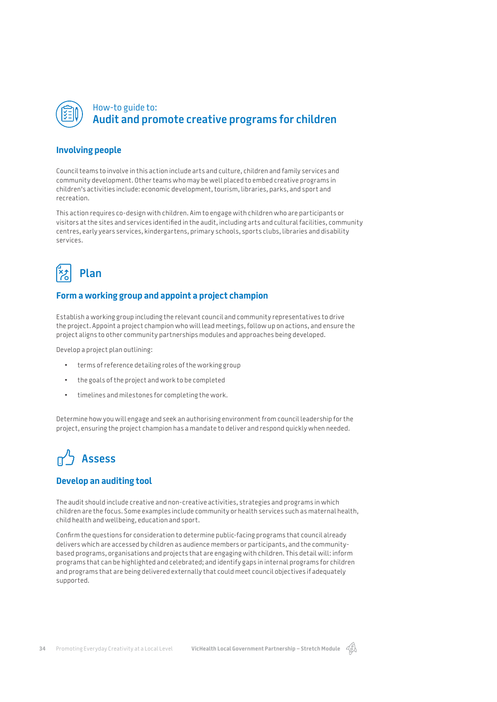

## How-to guide to: **Audit and promote creative programs for children**

### **Involving people**

Council teams to involve in this action include arts and culture, children and family services and community development. Other teams who may be well placed to embed creative programs in children's activities include: economic development, tourism, libraries, parks, and sport and recreation.

This action requires co-design with children. Aim to engage with children who are participants or visitors at the sites and services identifed in the audit, including arts and cultural facilities, community centres, early years services, kindergartens, primary schools, sports clubs, libraries and disability services.



### **Form a working group and appoint a project champion**

Establish a working group including the relevant council and community representatives to drive the project. Appoint a project champion who will lead meetings, follow up on actions, and ensure the project aligns to other community partnerships modules and approaches being developed.

Develop a project plan outlining:

- terms of reference detailing roles of the working group
- the goals of the project and work to be completed
- timelines and milestones for completing the work.

Determine how you will engage and seek an authorising environment from council leadership for the project, ensuring the project champion has a mandate to deliver and respond quickly when needed.

# **Assess**

### **Develop an auditing tool**

The audit should include creative and non-creative activities, strategies and programs in which children are the focus. Some examples include community or health services such as maternal health, child health and wellbeing, education and sport.

Confrm the questions for consideration to determine public-facing programs that council already delivers which are accessed by children as audience members or participants, and the communitybased programs, organisations and projects that are engaging with children. This detail will: inform programs that can be highlighted and celebrated; and identify gaps in internal programs for children and programs that are being delivered externally that could meet council objectives if adequately supported.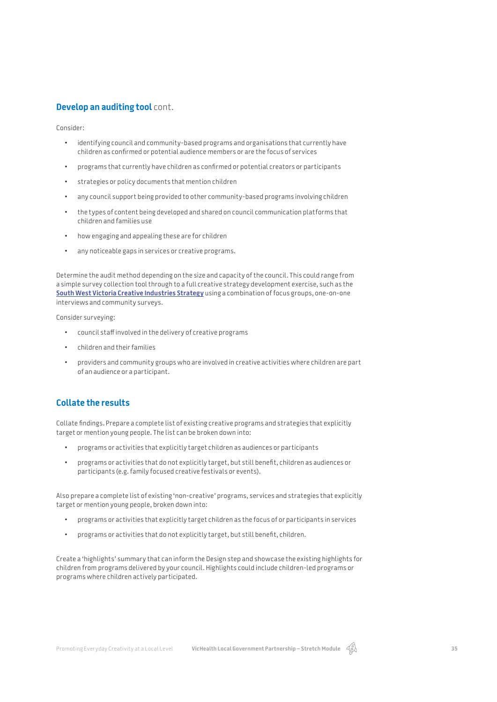### **Develop an auditing tool** cont.

Consider:

- identifying council and community-based programs and organisations that currently have children as confrmed or potential audience members or are the focus of services
- programs that currently have children as confrmed or potential creators or participants
- strategies or policy documents that mention children
- any council support being provided to other community-based programs involving children
- the types of content being developed and shared on council communication platforms that children and families use
- how engaging and appealing these are for children
- any noticeable gaps in services or creative programs.

Determine the audit method depending on the size and capacity of the council. This could range from a simple survey collection tool through to a full creative strategy development exercise, such as the **South West Victoria Creative Industries Strategy** using a combination of focus groups, one-on-one interviews and community surveys.

Consider surveying:

- council staff involved in the delivery of creative programs
- children and their families
- providers and community groups who are involved in creative activities where children are part of an audience or a participant.

### **Collate the results**

Collate fndings. Prepare a complete list of existing creative programs and strategies that explicitly target or mention young people. The list can be broken down into:

- programs or activities that explicitly target children as audiences or participants
- programs or activities that do not explicitly target, but still beneft, children as audiences or participants (e.g. family focused creative festivals or events).

Also prepare a complete list of existing 'non-creative' programs, services and strategies that explicitly target or mention young people, broken down into:

- programs or activities that explicitly target children as the focus of or participants in services
- programs or activities that do not explicitly target, but still beneft, children.

Create a 'highlights' summary that can inform the Design step and showcase the existing highlights for children from programs delivered by your council. Highlights could include children-led programs or programs where children actively participated.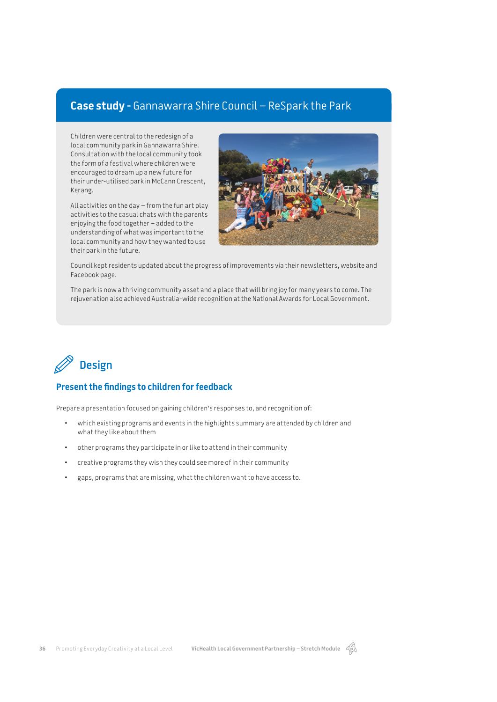# **Case study -** Gannawarra Shire Council – ReSpark the Park

Children were central to the redesign of a local community park in Gannawarra Shire. Consultation with the local community took the form of a festival where children were encouraged to dream up a new future for their under-utilised park in McCann Crescent, Kerang.

All activities on the day – from the fun art play activities to the casual chats with the parents enjoying the food together – added to the understanding of what was important to the local community and how they wanted to use their park in the future.



Council kept residents updated about the progress of improvements via their newsletters, website and Facebook page.

The park is now a thriving community asset and a place that will bring joy for many years to come. The rejuvenation also achieved Australia-wide recognition at the National Awards for Local Government.



## **Present the fndings to children for feedback**

Prepare a presentation focused on gaining children's responses to, and recognition of:

- which existing programs and events in the highlights summary are attended by children and what they like about them
- other programs they participate in or like to attend in their community
- creative programs they wish they could see more of in their community
- gaps, programs that are missing, what the children want to have access to.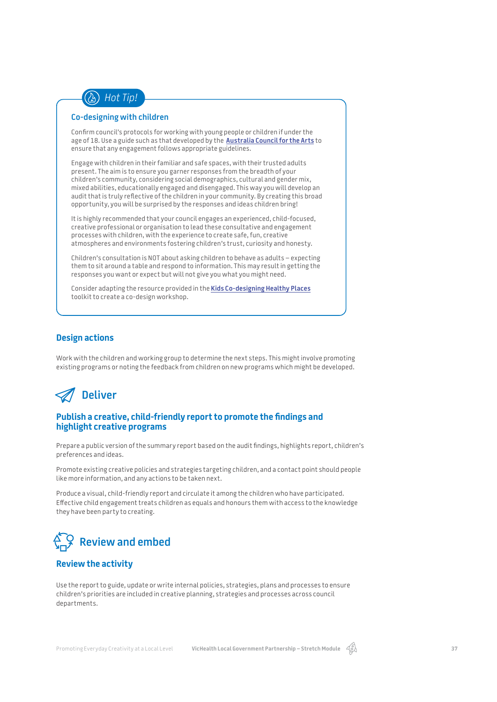

### **Co-designing with children**

Confrm council's protocols for working with young people or children if under the age of 18. Use a guide such as that developed by the **Australia Council for the Arts** to ensure that any engagement follows appropriate guidelines.

Engage with children in their familiar and safe spaces, with their trusted adults present. The aim is to ensure you garner responses from the breadth of your children's community, considering social demographics, cultural and gender mix, mixed abilities, educationally engaged and disengaged. This way you will develop an audit that is truly refective of the children in your community. By creating this broad opportunity, you will be surprised by the responses and ideas children bring!

It is highly recommended that your council engages an experienced, child-focused, creative professional or organisation to lead these consultative and engagement processes with children, with the experience to create safe, fun, creative atmospheres and environments fostering children's trust, curiosity and honesty.

Children's consultation is NOT about asking children to behave as adults – expecting them to sit around a table and respond to information. This may result in getting the responses you want or expect but will not give you what you might need.

Consider adapting the resource provided in the **Kids Co-designing Healthy Places** toolkit to create a co-design workshop.

### **Design actions**

Work with the children and working group to determine the next steps. This might involve promoting existing programs or noting the feedback from children on new programs which might be developed.



### **Publish a creative, child-friendly report to promote the fndings and highlight creative programs**

Prepare a public version of the summary report based on the audit fndings, highlights report, children's preferences and ideas.

Promote existing creative policies and strategies targeting children, and a contact point should people like more information, and any actions to be taken next.

Produce a visual, child-friendly report and circulate it among the children who have participated. Efective child engagement treats children as equals and honours them with access to the knowledge they have been party to creating.



### **Review the activity**

Use the report to guide, update or write internal policies, strategies, plans and processes to ensure children's priorities are included in creative planning, strategies and processes across council departments.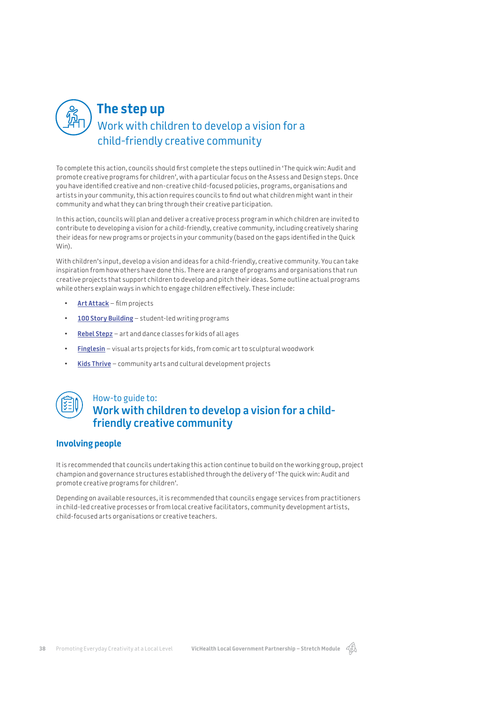

# Work with children to develop a vision for a child-friendly creative community **The step up**

To complete this action, councils should frst complete the steps outlined in 'The quick win: Audit and promote creative programs for children', with a particular focus on the Assess and Design steps. Once you have identifed creative and non-creative child-focused policies, programs, organisations and artists in your community, this action requires councils to fnd out what children might want in their community and what they can bring through their creative participation.

In this action, councils will plan and deliver a creative process program in which children are invited to contribute to developing a vision for a child-friendly, creative community, including creatively sharing their ideas for new programs or projects in your community (based on the gaps identifed in the Quick Win).

With children's input, develop a vision and ideas for a child-friendly, creative community. You can take inspiration from how others have done this. There are a range of programs and organisations that run creative projects that support children to develop and pitch their ideas. Some outline actual programs while others explain ways in which to engage children efectively. These include:

- **Art Attack** flm projects
- **100 Story Building** student-led writing programs
- **Rebel Stepz** art and dance classes for kids of all ages
- **Finglesin** visual arts projects for kids, from comic art to sculptural woodwork
- **Kids Thrive** community arts and cultural development projects



## How-to guide to: **Work with children to develop a vision for a childfriendly creative community**

### **Involving people**

It is recommended that councils undertaking this action continue to build on the working group, project champion and governance structures established through the delivery of 'The quick win: Audit and promote creative programs for children'.

Depending on available resources, it is recommended that councils engage services from practitioners in child-led creative processes or from local creative facilitators, community development artists, child-focused arts organisations or creative teachers.

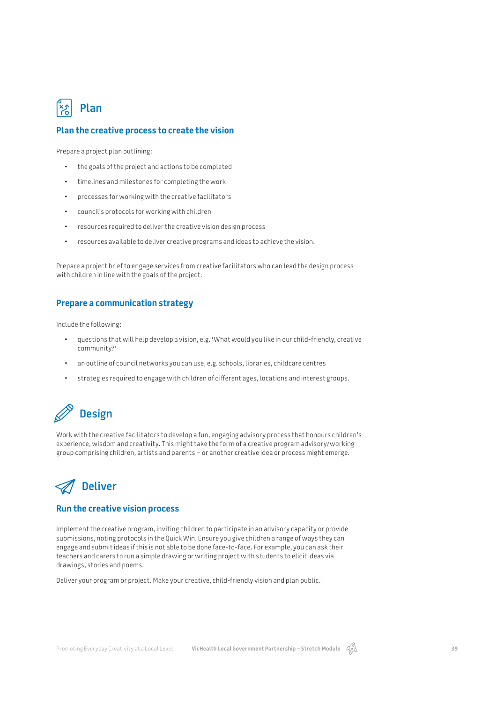

### **Plan the creative process to create the vision**

Prepare a project plan outlining:

- the goals of the project and actions to be completed
- timelines and milestones for completing the work
- processes for working with the creative facilitators
- council's protocols for working with children
- resources required to deliver the creative vision design process
- resources available to deliver creative programs and ideas to achieve the vision.

Prepare a project brief to engage services from creative facilitators who can lead the design process with children in line with the goals of the project.

### **Prepare a communication strategy**

Include the following:

- questions that will help develop a vision, e.g. 'What would you like in our child-friendly, creative community?'
- an outline of council networks you can use, e.g. schools, libraries, childcare centres
- strategies required to engage with children of diferent ages, locations and interest groups.



Work with the creative facilitators to develop a fun, engaging advisory process that honours children's experience, wisdom and creativity. This might take the form of a creative program advisory/working group comprising children, artists and parents – or another creative idea or process might emerge.

# **Deliver**

### **Run the creative vision process**

Implement the creative program, inviting children to participate in an advisory capacity or provide submissions, noting protocols in the Quick Win. Ensure you give children a range of ways they can engage and submit ideas if this is not able to be done face-to-face. For example, you can ask their teachers and carers to run a simple drawing or writing project with students to elicit ideas via drawings, stories and poems.

Deliver your program or project. Make your creative, child-friendly vision and plan public.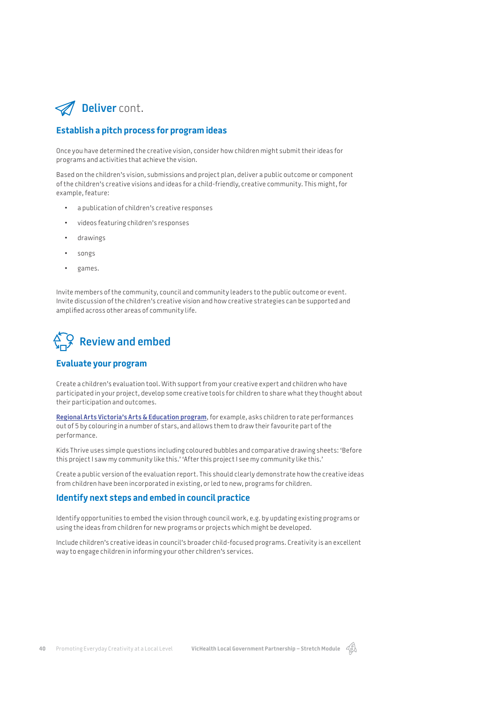

### **Establish a pitch process for program ideas**

Once you have determined the creative vision, consider how children might submit their ideas for programs and activities that achieve the vision.

Based on the children's vision, submissions and project plan, deliver a public outcome or component of the children's creative visions and ideas for a child-friendly, creative community. This might, for example, feature:

- a publication of children's creative responses
- videos featuring children's responses
- drawings
- songs
- games.

Invite members of the community, council and community leaders to the public outcome or event. Invite discussion of the children's creative vision and how creative strategies can be supported and amplifed across other areas of community life.



### **Evaluate your program**

Create a children's evaluation tool. With support from your creative expert and children who have participated in your project, develop some creative tools for children to share what they thought about their participation and outcomes.

**Regional Arts Victoria's Arts & Education program**, for example, asks children to rate performances out of 5 by colouring in a number of stars, and allows them to draw their favourite part of the performance.

Kids Thrive uses simple questions including coloured bubbles and comparative drawing sheets: 'Before this project I saw my community like this.' 'After this project I see my community like this.'

Create a public version of the evaluation report. This should clearly demonstrate how the creative ideas from children have been incorporated in existing, or led to new, programs for children.

### **Identify next steps and embed in council practice**

Identify opportunities to embed the vision through council work, e.g. by updating existing programs or using the ideas from children for new programs or projects which might be developed.

Include children's creative ideas in council's broader child-focused programs. Creativity is an excellent way to engage children in informing your other children's services.

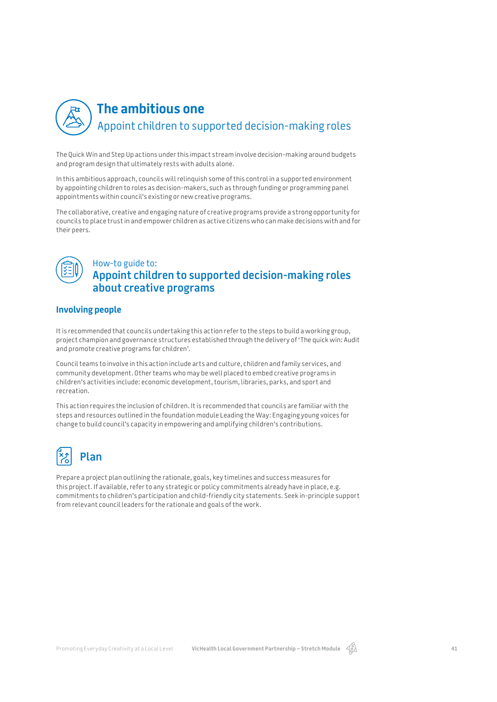

# Appoint children to supported decision-making roles **The ambitious one**

The Quick Win and Step Up actions under this impact stream involve decision-making around budgets and program design that ultimately rests with adults alone.

In this ambitious approach, councils will relinquish some of this control in a supported environment by appointing children to roles as decision-makers, such as through funding or programming panel appointments within council's existing or new creative programs.

The collaborative, creative and engaging nature of creative programs provide a strong opportunity for councils to place trust in and empower children as active citizens who can make decisions with and for their peers.



## How-to guide to: **Appoint children to supported decision-making roles about creative programs**

## **Involving people**

It is recommended that councils undertaking this action refer to the steps to build a working group, project champion and governance structures established through the delivery of 'The quick win: Audit and promote creative programs for children'.

Council teams to involve in this action include arts and culture, children and family services, and community development. Other teams who may be well placed to embed creative programs in children's activities include: economic development, tourism, libraries, parks, and sport and recreation.

This action requires the inclusion of children. It is recommended that councils are familiar with the steps and resources outlined in the foundation module Leading the Way: Engaging young voices for change to build council's capacity in empowering and amplifying children's contributions.



**Plan**

Prepare a project plan outlining the rationale, goals, key timelines and success measures for this project. If available, refer to any strategic or policy commitments already have in place, e.g. commitments to children's participation and child-friendly city statements. Seek in-principle support from relevant council leaders for the rationale and goals of the work.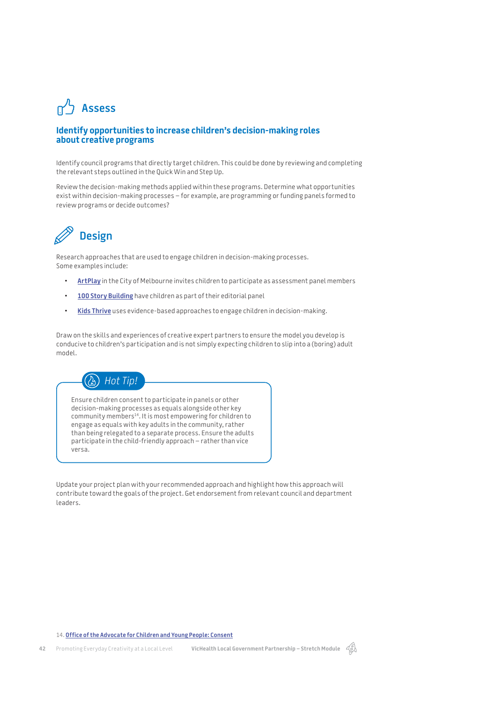# **Assess**

### **Identify opportunities to increase children's decision-making roles about creative programs**

Identify council programs that directly target children. This could be done by reviewing and completing the relevant steps outlined in the Quick Win and Step Up.

Review the decision-making methods applied within these programs. Determine what opportunities exist within decision-making processes – for example, are programming or funding panels formed to review programs or decide outcomes?



Research approaches that are used to engage children in decision-making processes. Some examples include:

- **ArtPlay** in the City of Melbourne invites children to participate as assessment panel members
- **100 Story Building** have children as part of their editorial panel
- **Kids Thrive** uses evidence-based approaches to engage children in decision-making.

Draw on the skills and experiences of creative expert partners to ensure the model you develop is conducive to children's participation and is not simply expecting children to slip into a (boring) adult model.



Ensure children consent to participate in panels or other decision-making processes as equals alongside other key community members<sup>14</sup>. It is most empowering for children to engage as equals with key adults in the community, rather than being relegated to a separate process. Ensure the adults participate in the child-friendly approach – rather than vice versa.

Update your project plan with your recommended approach and highlight how this approach will contribute toward the goals of the project. Get endorsement from relevant council and department leaders.

#### 14. **Office of the Advocate for Children and Young People: Consent**